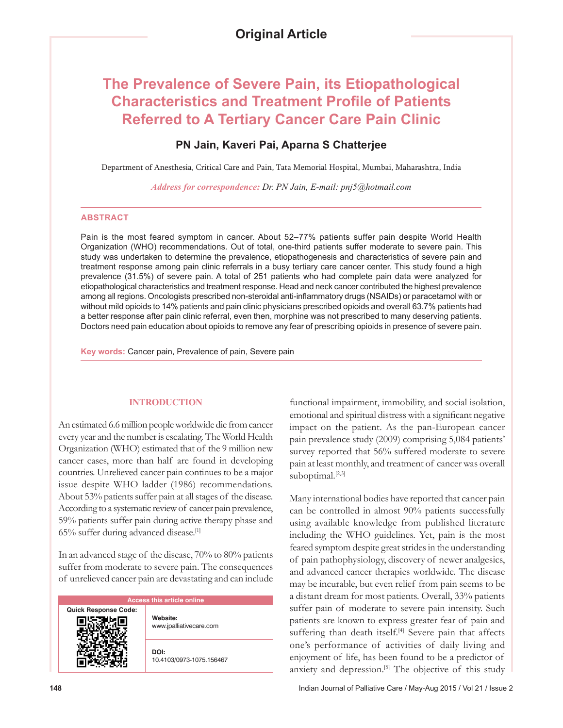# **The Prevalence of Severe Pain, its Etiopathological Characteristics and Treatment Profile of Patients Referred to A Tertiary Cancer Care Pain Clinic**

## **PN Jain, Kaveri Pai, Aparna S Chatterjee**

Department of Anesthesia, Critical Care and Pain, Tata Memorial Hospital, Mumbai, Maharashtra, India

*Address for correspondence: Dr. PN Jain, E-mail: pnj5@hotmail.com*

#### **ABSTRACT**

Pain is the most feared symptom in cancer. About 52–77% patients suffer pain despite World Health Organization (WHO) recommendations. Out of total, one-third patients suffer moderate to severe pain. This study was undertaken to determine the prevalence, etiopathogenesis and characteristics of severe pain and treatment response among pain clinic referrals in a busy tertiary care cancer center. This study found a high prevalence (31.5%) of severe pain. A total of 251 patients who had complete pain data were analyzed for etiopathological characteristics and treatment response. Head and neck cancer contributed the highest prevalence among all regions. Oncologists prescribed non‑steroidal anti‑inflammatory drugs (NSAIDs) or paracetamol with or without mild opioids to 14% patients and pain clinic physicians prescribed opioids and overall 63.7% patients had a better response after pain clinic referral, even then, morphine was not prescribed to many deserving patients. Doctors need pain education about opioids to remove any fear of prescribing opioids in presence of severe pain.

**Key words:** Cancer pain, Prevalence of pain, Severe pain

## **INTRODUCTION**

An estimated 6.6 million people worldwide die from cancer every year and the number is escalating. The World Health Organization (WHO) estimated that of the 9 million new cancer cases, more than half are found in developing countries. Unrelieved cancer pain continues to be a major issue despite WHO ladder (1986) recommendations. About 53% patients suffer pain at all stages of the disease. According to a systematic review of cancer pain prevalence, 59% patients suffer pain during active therapy phase and  $65\%$  suffer during advanced disease.<sup>[1]</sup>

In an advanced stage of the disease, 70% to 80% patients suffer from moderate to severe pain. The consequences of unrelieved cancer pain are devastating and can include

| <b>Access this article online</b> |                                     |
|-----------------------------------|-------------------------------------|
| <b>Quick Response Code:</b>       | Website:<br>www.jpalliativecare.com |
|                                   | DOI:<br>10.4103/0973-1075.156467    |

functional impairment, immobility, and social isolation, emotional and spiritual distress with a significant negative impact on the patient. As the pan-European cancer pain prevalence study (2009) comprising 5,084 patients' survey reported that 56% suffered moderate to severe pain at least monthly, and treatment of cancer was overall suboptimal.<sup>[2,3]</sup>

Many international bodies have reported that cancer pain can be controlled in almost 90% patients successfully using available knowledge from published literature including the WHO guidelines. Yet, pain is the most feared symptom despite great strides in the understanding of pain pathophysiology, discovery of newer analgesics, and advanced cancer therapies worldwide. The disease may be incurable, but even relief from pain seems to be a distant dream for most patients. Overall, 33% patients suffer pain of moderate to severe pain intensity. Such patients are known to express greater fear of pain and suffering than death itself.<sup>[4]</sup> Severe pain that affects one's performance of activities of daily living and enjoyment of life, has been found to be a predictor of anxiety and depression.<sup>[5]</sup> The objective of this study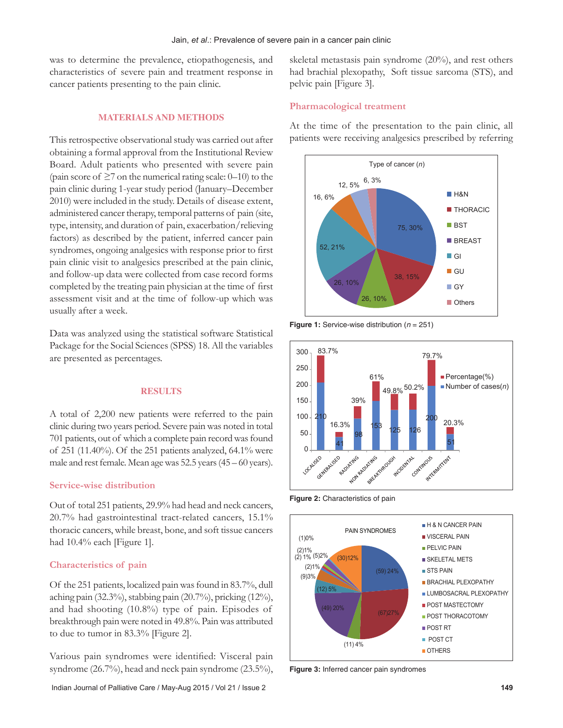was to determine the prevalence, etiopathogenesis, and characteristics of severe pain and treatment response in cancer patients presenting to the pain clinic.

## **MATERIALS AND METHODS**

This retrospective observational study was carried out after obtaining a formal approval from the Institutional Review Board. Adult patients who presented with severe pain (pain score of  $\geq$ 7 on the numerical rating scale: 0–10) to the pain clinic during 1-year study period (January–December 2010) were included in the study. Details of disease extent, administered cancer therapy, temporal patterns of pain (site, type, intensity, and duration of pain, exacerbation/relieving factors) as described by the patient, inferred cancer pain syndromes, ongoing analgesics with response prior to first pain clinic visit to analgesics prescribed at the pain clinic, and follow-up data were collected from case record forms completed by the treating pain physician at the time of first assessment visit and at the time of follow-up which was usually after a week.

Data was analyzed using the statistical software Statistical Package for the Social Sciences (SPSS) 18. All the variables are presented as percentages.

#### **RESULTS**

A total of 2,200 new patients were referred to the pain clinic during two years period. Severe pain was noted in total 701 patients, out of which a complete pain record was found of 251 (11.40%). Of the 251 patients analyzed, 64.1% were male and rest female. Mean age was 52.5 years (45 – 60 years).

## **Service‑wise distribution**

Out of total 251 patients, 29.9% had head and neck cancers, 20.7% had gastrointestinal tract-related cancers, 15.1% thoracic cancers, while breast, bone, and soft tissue cancers had 10.4% each [Figure 1].

#### **Characteristics of pain**

Of the 251 patients, localized pain was found in 83.7%, dull aching pain (32.3%), stabbing pain (20.7%), pricking (12%), and had shooting (10.8%) type of pain. Episodes of breakthrough pain were noted in 49.8%. Pain was attributed to due to tumor in 83.3% [Figure 2].

Various pain syndromes were identified: Visceral pain syndrome (26.7%), head and neck pain syndrome (23.5%), skeletal metastasis pain syndrome (20%), and rest others had brachial plexopathy, Soft tissue sarcoma (STS), and pelvic pain [Figure 3].

## **Pharmacological treatment**

At the time of the presentation to the pain clinic, all patients were receiving analgesics prescribed by referring



**Figure 1:** Service-wise distribution (*n* = 251)



**Figure 2:** Characteristics of pain



**Figure 3:** Inferred cancer pain syndromes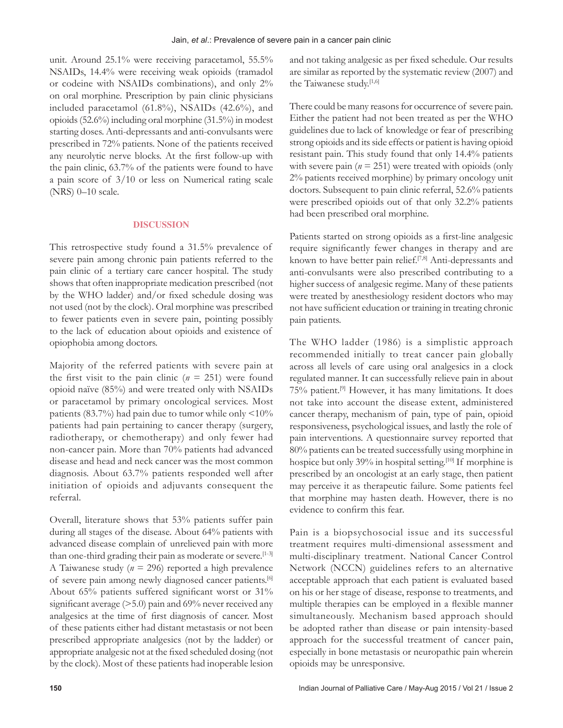unit. Around 25.1% were receiving paracetamol, 55.5% NSAIDs, 14.4% were receiving weak opioids (tramadol or codeine with NSAIDs combinations), and only 2% on oral morphine. Prescription by pain clinic physicians included paracetamol (61.8%), NSAIDs (42.6%), and opioids(52.6%) including oral morphine (31.5%) in modest starting doses. Anti-depressants and anti-convulsants were prescribed in 72% patients. None of the patients received any neurolytic nerve blocks. At the first follow‑up with the pain clinic, 63.7% of the patients were found to have a pain score of 3/10 or less on Numerical rating scale (NRS) 0–10 scale.

#### **DISCUSSION**

This retrospective study found a 31.5% prevalence of severe pain among chronic pain patients referred to the pain clinic of a tertiary care cancer hospital. The study shows that often inappropriate medication prescribed (not by the WHO ladder) and/or fixed schedule dosing was not used (not by the clock). Oral morphine was prescribed to fewer patients even in severe pain, pointing possibly to the lack of education about opioids and existence of opiophobia among doctors.

Majority of the referred patients with severe pain at the first visit to the pain clinic  $(n = 251)$  were found opioid naïve (85%) and were treated only with NSAIDs or paracetamol by primary oncological services. Most patients (83.7%) had pain due to tumor while only <10% patients had pain pertaining to cancer therapy (surgery, radiotherapy, or chemotherapy) and only fewer had non-cancer pain. More than 70% patients had advanced disease and head and neck cancer was the most common diagnosis. About 63.7% patients responded well after initiation of opioids and adjuvants consequent the referral.

Overall, literature shows that 53% patients suffer pain during all stages of the disease. About 64% patients with advanced disease complain of unrelieved pain with more than one-third grading their pain as moderate or severe.<sup>[1-3]</sup> A Taiwanese study (*n* = 296) reported a high prevalence of severe pain among newly diagnosed cancer patients.<sup>[6]</sup> About 65% patients suffered significant worst or 31% significant average ( $>5.0$ ) pain and 69% never received any analgesics at the time of first diagnosis of cancer. Most of these patients either had distant metastasis or not been prescribed appropriate analgesics (not by the ladder) or appropriate analgesic not at the fixed scheduled dosing (not by the clock). Most of these patients had inoperable lesion

and not taking analgesic as per fixed schedule. Our results are similar as reported by the systematic review (2007) and the Taiwanese study.[1,6]

There could be many reasons for occurrence of severe pain. Either the patient had not been treated as per the WHO guidelines due to lack of knowledge or fear of prescribing strong opioids and its side effects or patient is having opioid resistant pain. This study found that only 14.4% patients with severe pain  $(n = 251)$  were treated with opioids (only 2% patients received morphine) by primary oncology unit doctors. Subsequent to pain clinic referral, 52.6% patients were prescribed opioids out of that only 32.2% patients had been prescribed oral morphine.

Patients started on strong opioids as a first-line analgesic require significantly fewer changes in therapy and are known to have better pain relief.<sup>[7,8]</sup> Anti-depressants and anti-convulsants were also prescribed contributing to a higher success of analgesic regime. Many of these patients were treated by anesthesiology resident doctors who may not have sufficient education or training in treating chronic pain patients.

The WHO ladder (1986) is a simplistic approach recommended initially to treat cancer pain globally across all levels of care using oral analgesics in a clock regulated manner. It can successfully relieve pain in about 75% patient.[9] However, it has many limitations. It does not take into account the disease extent, administered cancer therapy, mechanism of pain, type of pain, opioid responsiveness, psychological issues, and lastly the role of pain interventions. A questionnaire survey reported that 80% patients can be treated successfully using morphine in hospice but only 39% in hospital setting.<sup>[10]</sup> If morphine is prescribed by an oncologist at an early stage, then patient may perceive it as therapeutic failure. Some patients feel that morphine may hasten death. However, there is no evidence to confirm this fear.

Pain is a biopsychosocial issue and its successful treatment requires multi-dimensional assessment and multi-disciplinary treatment. National Cancer Control Network (NCCN) guidelines refers to an alternative acceptable approach that each patient is evaluated based on his or her stage of disease, response to treatments, and multiple therapies can be employed in a flexible manner simultaneously. Mechanism based approach should be adopted rather than disease or pain intensity-based approach for the successful treatment of cancer pain, especially in bone metastasis or neuropathic pain wherein opioids may be unresponsive.